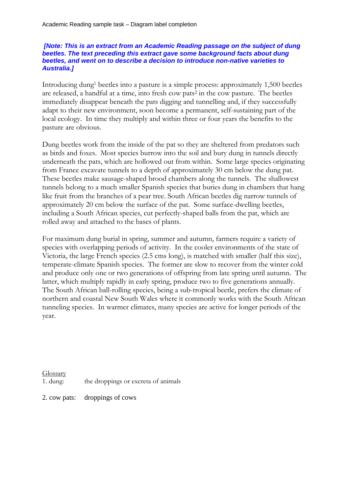## *[Note: This is an extract from an Academic Reading passage on the subject of dung beetles. The text preceding this extract gave some background facts about dung beetles, and went on to describe a decision to introduce non-native varieties to Australia.]*

Introducing dung1 beetles into a pasture is a simple process: approximately 1,500 beetles are released, a handful at a time, into fresh cow pats2 in the cow pasture. The beetles immediately disappear beneath the pats digging and tunnelling and, if they successfully adapt to their new environment, soon become a permanent, self-sustaining part of the local ecology. In time they multiply and within three or four years the benefits to the pasture are obvious.

Dung beetles work from the inside of the pat so they are sheltered from predators such as birds and foxes. Most species burrow into the soil and bury dung in tunnels directly underneath the pats, which are hollowed out from within. Some large species originating from France excavate tunnels to a depth of approximately 30 cm below the dung pat. These beetles make sausage-shaped brood chambers along the tunnels. The shallowest tunnels belong to a much smaller Spanish species that buries dung in chambers that hang like fruit from the branches of a pear tree. South African beetles dig narrow tunnels of approximately 20 cm below the surface of the pat. Some surface-dwelling beetles, including a South African species, cut perfectly-shaped balls from the pat, which are rolled away and attached to the bases of plants.

For maximum dung burial in spring, summer and autumn, farmers require a variety of species with overlapping periods of activity. In the cooler environments of the state of Victoria, the large French species (2.5 cms long), is matched with smaller (half this size), temperate-climate Spanish species. The former are slow to recover from the winter cold and produce only one or two generations of offspring from late spring until autumn. The latter, which multiply rapidly in early spring, produce two to five generations annually. The South African ball-rolling species, being a sub-tropical beetle, prefers the climate of northern and coastal New South Wales where it commonly works with the South African tunneling species. In warmer climates, many species are active for longer periods of the year.

## Glossary

1. dung: the droppings or excreta of animals

2. cow pats: droppings of cows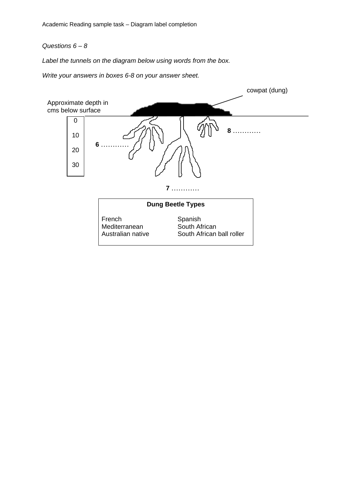## *Questions 6 – 8*

*Label the tunnels on the diagram below using words from the box.* 

*Write your answers in boxes 6-8 on your answer sheet.*